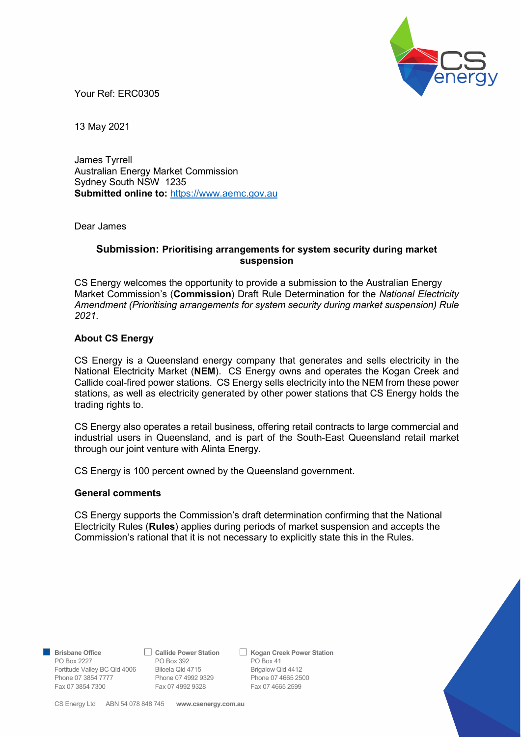

Your Ref: ERC0305

13 May 2021

James Tyrrell Australian Energy Market Commission Sydney South NSW 1235 Submitted online to: https://www.aemc.gov.au

Dear James

## Submission: Prioritising arrangements for system security during market suspension

CS Energy welcomes the opportunity to provide a submission to the Australian Energy Market Commission's (Commission) Draft Rule Determination for the National Electricity Amendment (Prioritising arrangements for system security during market suspension) Rule 2021.

## About CS Energy

CS Energy is a Queensland energy company that generates and sells electricity in the National Electricity Market (NEM). CS Energy owns and operates the Kogan Creek and Callide coal-fired power stations. CS Energy sells electricity into the NEM from these power stations, as well as electricity generated by other power stations that CS Energy holds the trading rights to.

CS Energy also operates a retail business, offering retail contracts to large commercial and industrial users in Queensland, and is part of the South-East Queensland retail market through our joint venture with Alinta Energy.

CS Energy is 100 percent owned by the Queensland government.

## General comments

CS Energy supports the Commission's draft determination confirming that the National Electricity Rules (Rules) applies during periods of market suspension and accepts the Commission's rational that it is not necessary to explicitly state this in the Rules.

PO Box 2227 **PO Box 392** PO Box 41 Fortitude Valley BC Qld 4006 Biloela Qld 4715 Brigalow Qld 4412

Phone 07 3854 7777 Phone 07 4992 9329 Phone 07 4665 2500<br>
Fax 07 3854 7300 Fax 07 4992 9328 Fax 07 4665 2599 Fax 07 3854 7300 Fax 07 4992 9328

Brisbane Office 
△ Callide Power Station △ Kogan Creek Power Station



CS Energy Ltd ABN 54 078 848 745 www.csenergy.com.au